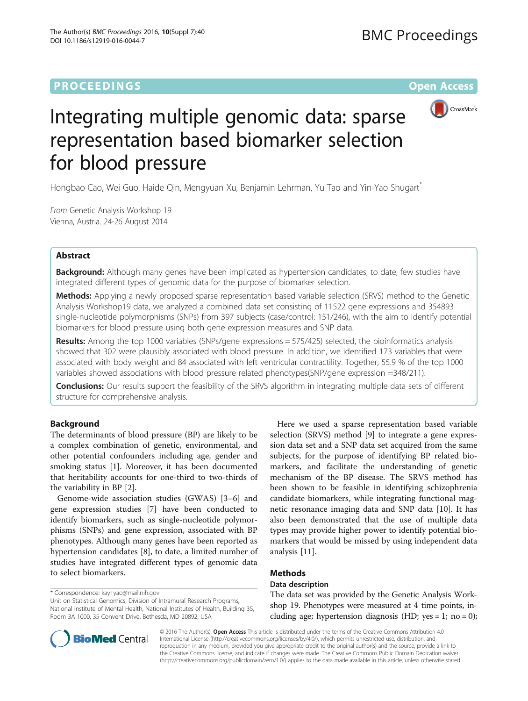# **PROCEEDINGS CONSUMING SECTION CONSUMING SECTION CONSUMING SECTION CONSUMING SECTION CONSUMING SECTION CONSUMING SECTION CONSUMING SECTION CONSUMING SECTION CONSUMING SECTION CONSUMING SECTION CONSUMING SECTION CONSUMING**



# Integrating multiple genomic data: sparse representation based biomarker selection for blood pressure

Hongbao Cao, Wei Guo, Haide Qin, Mengyuan Xu, Benjamin Lehrman, Yu Tao and Yin-Yao Shugart\*

From Genetic Analysis Workshop 19 Vienna, Austria. 24-26 August 2014

# Abstract

**Background:** Although many genes have been implicated as hypertension candidates, to date, few studies have integrated different types of genomic data for the purpose of biomarker selection.

Methods: Applying a newly proposed sparse representation based variable selection (SRVS) method to the Genetic Analysis Workshop19 data, we analyzed a combined data set consisting of 11522 gene expressions and 354893 single-nucleotide polymorphisms (SNPs) from 397 subjects (case/control: 151/246), with the aim to identify potential biomarkers for blood pressure using both gene expression measures and SNP data.

Results: Among the top 1000 variables (SNPs/gene expressions = 575/425) selected, the bioinformatics analysis showed that 302 were plausibly associated with blood pressure. In addition, we identified 173 variables that were associated with body weight and 84 associated with left ventricular contractility. Together, 55.9 % of the top 1000 variables showed associations with blood pressure related phenotypes(SNP/gene expression =348/211).

**Conclusions:** Our results support the feasibility of the SRVS algorithm in integrating multiple data sets of different structure for comprehensive analysis.

# Background

The determinants of blood pressure (BP) are likely to be a complex combination of genetic, environmental, and other potential confounders including age, gender and smoking status [\[1\]](#page-4-0). Moreover, it has been documented that heritability accounts for one-third to two-thirds of the variability in BP [[2\]](#page-5-0).

Genome-wide association studies (GWAS) [\[3](#page-5-0)–[6\]](#page-5-0) and gene expression studies [[7\]](#page-5-0) have been conducted to identify biomarkers, such as single-nucleotide polymorphisms (SNPs) and gene expression, associated with BP phenotypes. Although many genes have been reported as hypertension candidates [[8\]](#page-5-0), to date, a limited number of studies have integrated different types of genomic data to select biomarkers.

\* Correspondence: kay1yao@mail.nih.gov

Unit on Statistical Genomics, Division of Intramural Research Programs, National Institute of Mental Health, National Institutes of Health, Building 35, Room 3A 1000, 35 Convent Drive, Bethesda, MD 20892, USA

Here we used a sparse representation based variable selection (SRVS) method [\[9\]](#page-5-0) to integrate a gene expression data set and a SNP data set acquired from the same subjects, for the purpose of identifying BP related biomarkers, and facilitate the understanding of genetic mechanism of the BP disease. The SRVS method has been shown to be feasible in identifying schizophrenia candidate biomarkers, while integrating functional magnetic resonance imaging data and SNP data [[10\]](#page-5-0). It has also been demonstrated that the use of multiple data types may provide higher power to identify potential biomarkers that would be missed by using independent data analysis [\[11\]](#page-5-0).

# Methods

# Data description

The data set was provided by the Genetic Analysis Workshop 19. Phenotypes were measured at 4 time points, including age; hypertension diagnosis (HD; yes = 1; no = 0);



© 2016 The Author(s). Open Access This article is distributed under the terms of the Creative Commons Attribution 4.0 International License (http://creativecommons.org/licenses/by/4.0/), which permits unrestricted use, distribution, and reproduction in any medium, provided you give appropriate credit to the original author(s) and the source, provide a link to the Creative Commons license, and indicate if changes were made. The Creative Commons Public Domain Dedication waiver (http://creativecommons.org/publicdomain/zero/1.0/) applies to the data made available in this article, unless otherwise stated.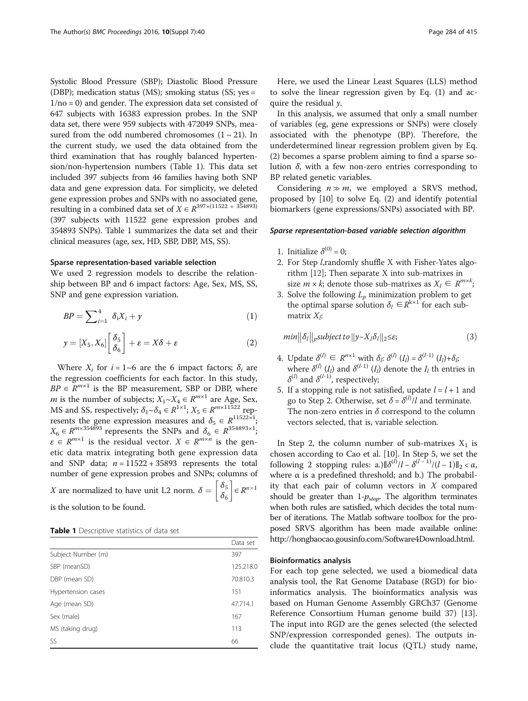<span id="page-1-0"></span>Systolic Blood Pressure (SBP); Diastolic Blood Pressure (DBP); medication status (MS); smoking status (SS; yes =  $1/no = 0$ ) and gender. The expression data set consisted of 647 subjects with 16383 expression probes. In the SNP data set, there were 959 subjects with 472049 SNPs, measured from the odd numbered chromosomes  $(1 \sim 21)$ . In the current study, we used the data obtained from the third examination that has roughly balanced hypertension/non-hypertension numbers (Table 1). This data set included 397 subjects from 46 families having both SNP data and gene expression data. For simplicity, we deleted gene expression probes and SNPs with no associated gene, resulting in a combined data set of  $X \in \mathbb{R}^{397 \times (11522 + 354893)}$ (397 subjects with 11522 gene expression probes and 354893 SNPs). Table 1 summarizes the data set and their clinical measures (age, sex, HD, SBP, DBP, MS, SS).

#### Sparse representation-based variable selection

We used 2 regression models to describe the relationship between BP and 6 impact factors: Age, Sex, MS, SS, SNP and gene expression variation.

$$
BP = \sum_{i=1}^{4} \delta_i X_i + y \tag{1}
$$

$$
y = [X_5, X_6] \begin{bmatrix} \delta_5 \\ \delta_6 \end{bmatrix} + \varepsilon = X\delta + \varepsilon \tag{2}
$$

Where  $X_i$  for  $i = 1$ ~6 are the 6 impact factors;  $\delta_i$  are the regression coefficients for each factor. In this study,  $BP \in R^{m \times 1}$  is the BP measurement, SBP or DBP, where *m* is the number of subjects;  $X_1 \sim X_4 \in \mathbb{R}^{m \times 1}$  are Age, Sex, MS and SS, respectively;  $\delta_1 \sim \delta_4 \in R^{1 \times 1}$ ;  $X_5 \in R^{m \times 11522}$  represents the gene expression measures and  $\delta_5 \in R^{11522 \times 1}$ ;  $X_6 \in \mathbb{R}^{m \times 354893}$  represents the SNPs and  $\delta_6 \in \mathbb{R}^{354893 \times 1}$ ;  $\varepsilon \in R^{m \times 1}$  is the residual vector.  $X \in R^{m \times n}$  is the genetic data matrix integrating both gene expression data and SNP data;  $n = 11522 + 35893$  represents the total number of gene expression probes and SNPs; columns of *X* are normalized to have unit L2 norm.  $\delta = \begin{bmatrix} \delta_5 \\ \delta_6 \end{bmatrix}$  $\left[\begin{array}{c} \delta_5 \\ s \end{array}\right] \in R^{n \times 1}$ is the solution to be found.

| Table 1 Descriptive statistics of data set |  |  |
|--------------------------------------------|--|--|
|--------------------------------------------|--|--|

|                    | Data set  |
|--------------------|-----------|
| Subject Number (m) | 397       |
| SBP (meanSD)       | 125,218.0 |
| DBP (mean SD)      | 70.810.3  |
| Hypertension cases | 151       |
| Age (mean SD)      | 47.714.1  |
| Sex (male)         | 167       |
| MS (taking drug)   | 113       |
| SS.                | 66        |

Here, we used the Linear Least Squares (LLS) method to solve the linear regression given by Eq. (1) and acquire the residual  $\nu$ .

In this analysis, we assumed that only a small number of variables (eg, gene expressions or SNPs) were closely associated with the phenotype (BP). Therefore, the underdetermined linear regression problem given by Eq. (2) becomes a sparse problem aiming to find a sparse solution  $\delta$ , with a few non-zero entries corresponding to BP related genetic variables.

Considering  $n \gg m$ , we employed a SRVS method, proposed by [\[10\]](#page-5-0) to solve Eq. (2) and identify potential biomarkers (gene expressions/SNPs) associated with BP.

#### Sparse representation-based variable selection algorithm

- 1. Initialize  $\delta^{(0)} = 0$ ;
- 2. For Step l,randomly shuffle X with Fisher-Yates algorithm [\[12\]](#page-5-0); Then separate X into sub-matrixes in size  $m \times k$ ; denote those sub-matrixes as  $X_l \in R^{m \times k}$ ;
- 3. Solve the following  $L_p$  minimization problem to get the optimal sparse solution  $\delta_l \in R^{k \times 1}$  for each submatrix  $X_i$ :

$$
min \|\delta_l\|_p \text{subject to } \|y - X_l \delta_l\|_2 \leq \varepsilon; \tag{3}
$$

- 4. Update  $\delta^{(l)} \in R^{n \times 1}$  with  $\delta_i$ :  $\delta^{(l)}(I_i) = \delta^{(l-1)}(I_i) + \delta_i$ ; where  $\delta^{(l)}$  (I<sub>l</sub>) and  $\delta^{(l-1)}$  (I<sub>l</sub>) denote the I<sub>l</sub> th entries in  $\delta^{(l)}$  and  $\delta^{(l-1)}$ , respectively;
- 5. If a stopping rule is not satisfied, update  $l = l + 1$  and go to Step 2. Otherwise, set  $\delta = \delta^{(l)} / l$  and terminate. The non-zero entries in  $\delta$  correspond to the column vectors selected, that is, variable selection.

In Step 2, the column number of sub-matrixes  $X_1$  is chosen according to Cao et al. [[10\]](#page-5-0). In Step 5, we set the following 2 stopping rules: a.) $\|\delta^{(l)}/l - \delta^{(l-1)}/(l-1)\|_2 < \alpha$ , where  $\alpha$  is a predefined threshold; and b.) The probability that each pair of column vectors in X compared should be greater than  $1-p_{stop}$ . The algorithm terminates when both rules are satisfied, which decides the total number of iterations. The Matlab software toolbox for the proposed SRVS algorithm has been made available online: http://hongbaocao.gousinfo.com/Software4Download.html.

#### Bioinformatics analysis

For each top gene selected, we used a biomedical data analysis tool, the Rat Genome Database (RGD) for bioinformatics analysis. The bioinformatics analysis was based on Human Genome Assembly GRCh37 (Genome Reference Consortium Human genome build 37) [\[13](#page-5-0)]. The input into RGD are the genes selected (the selected SNP/expression corresponded genes). The outputs include the quantitative trait locus (QTL) study name,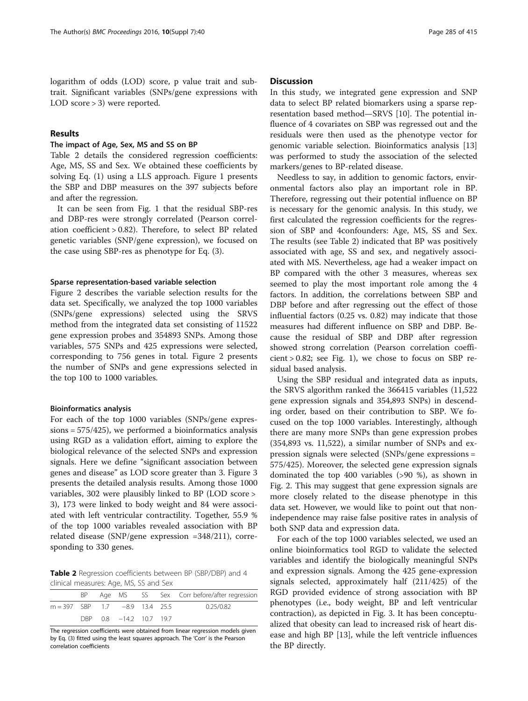## Results

## The impact of Age, Sex, MS and SS on BP

Table 2 details the considered regression coefficients: Age, MS, SS and Sex. We obtained these coefficients by solving Eq. ([1\)](#page-1-0) using a LLS approach. Figure [1](#page-3-0) presents the SBP and DBP measures on the 397 subjects before and after the regression.

It can be seen from Fig. [1](#page-3-0) that the residual SBP-res and DBP-res were strongly correlated (Pearson correlation coefficient > 0.82). Therefore, to select BP related genetic variables (SNP/gene expression), we focused on the case using SBP-res as phenotype for Eq. [\(3](#page-1-0)).

#### Sparse representation-based variable selection

Figure [2](#page-3-0) describes the variable selection results for the data set. Specifically, we analyzed the top 1000 variables (SNPs/gene expressions) selected using the SRVS method from the integrated data set consisting of 11522 gene expression probes and 354893 SNPs. Among those variables, 575 SNPs and 425 expressions were selected, corresponding to 756 genes in total. Figure [2](#page-3-0) presents the number of SNPs and gene expressions selected in the top 100 to 1000 variables.

#### Bioinformatics analysis

For each of the top 1000 variables (SNPs/gene expressions = 575/425), we performed a bioinformatics analysis using RGD as a validation effort, aiming to explore the biological relevance of the selected SNPs and expression signals. Here we define "significant association between genes and disease" as LOD score greater than 3. Figure [3](#page-4-0) presents the detailed analysis results. Among those 1000 variables, 302 were plausibly linked to BP (LOD score > 3), 173 were linked to body weight and 84 were associated with left ventricular contractility. Together, 55.9 % of the top 1000 variables revealed association with BP related disease (SNP/gene expression =348/211), corresponding to 330 genes.

Table 2 Regression coefficients between BP (SBP/DBP) and 4 clinical measures: Age, MS, SS and Sex

|                                     |  |  |                         |  |  | BP Age MS SS Sex Corr before/after regression |
|-------------------------------------|--|--|-------------------------|--|--|-----------------------------------------------|
| $m = 397$ SBP 1.7 $-8.9$ 1.3.4 25.5 |  |  |                         |  |  | 0.25/0.82                                     |
|                                     |  |  | DBP 0.8 -14.2 10.7 19.7 |  |  |                                               |

The regression coefficients were obtained from linear regression models given by Eq. ([3](#page-1-0)) fitted using the least squares approach. The 'Corr' is the Pearson correlation coefficients

### **Discussion**

In this study, we integrated gene expression and SNP data to select BP related biomarkers using a sparse representation based method—SRVS [[10](#page-5-0)]. The potential influence of 4 covariates on SBP was regressed out and the residuals were then used as the phenotype vector for genomic variable selection. Bioinformatics analysis [[13](#page-5-0)] was performed to study the association of the selected markers/genes to BP-related disease.

Needless to say, in addition to genomic factors, environmental factors also play an important role in BP. Therefore, regressing out their potential influence on BP is necessary for the genomic analysis. In this study, we first calculated the regression coefficients for the regression of SBP and 4confounders: Age, MS, SS and Sex. The results (see Table 2) indicated that BP was positively associated with age, SS and sex, and negatively associated with MS. Nevertheless, age had a weaker impact on BP compared with the other 3 measures, whereas sex seemed to play the most important role among the 4 factors. In addition, the correlations between SBP and DBP before and after regressing out the effect of those influential factors (0.25 vs. 0.82) may indicate that those measures had different influence on SBP and DBP. Because the residual of SBP and DBP after regression showed strong correlation (Pearson correlation coeffi $cient > 0.82$ ; see Fig. [1\)](#page-3-0), we chose to focus on SBP residual based analysis.

Using the SBP residual and integrated data as inputs, the SRVS algorithm ranked the 366415 variables (11,522 gene expression signals and 354,893 SNPs) in descending order, based on their contribution to SBP. We focused on the top 1000 variables. Interestingly, although there are many more SNPs than gene expression probes (354,893 vs. 11,522), a similar number of SNPs and expression signals were selected (SNPs/gene expressions = 575/425). Moreover, the selected gene expression signals dominated the top 400 variables (>90 %), as shown in Fig. [2](#page-3-0). This may suggest that gene expression signals are more closely related to the disease phenotype in this data set. However, we would like to point out that nonindependence may raise false positive rates in analysis of both SNP data and expression data.

For each of the top 1000 variables selected, we used an online bioinformatics tool RGD to validate the selected variables and identify the biologically meaningful SNPs and expression signals. Among the 425 gene-expression signals selected, approximately half (211/425) of the RGD provided evidence of strong association with BP phenotypes (i.e., body weight, BP and left ventricular contraction), as depicted in Fig. [3](#page-4-0). It has been conceptualized that obesity can lead to increased risk of heart disease and high BP [[13\]](#page-5-0), while the left ventricle influences the BP directly.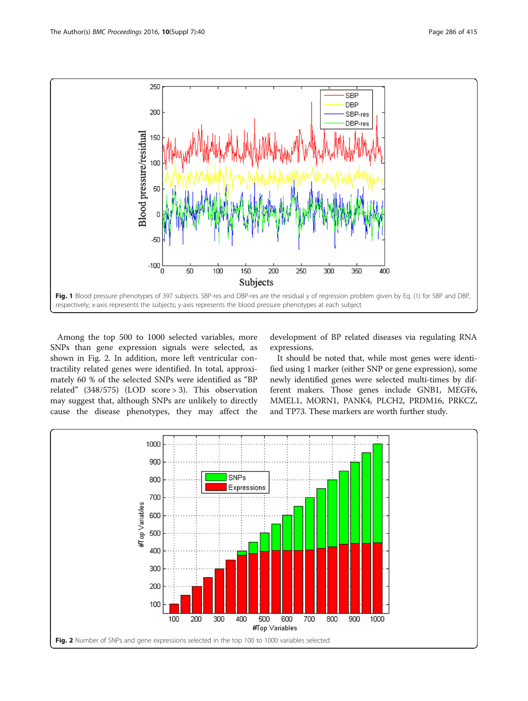<span id="page-3-0"></span>

Among the top 500 to 1000 selected variables, more SNPs than gene expression signals were selected, as shown in Fig. 2. In addition, more left ventricular contractility related genes were identified. In total, approximately 60 % of the selected SNPs were identified as "BP related" (348/575) (LOD score > 3). This observation may suggest that, although SNPs are unlikely to directly cause the disease phenotypes, they may affect the

development of BP related diseases via regulating RNA expressions.

It should be noted that, while most genes were identified using 1 marker (either SNP or gene expression), some newly identified genes were selected multi-times by different makers. Those genes include GNB1, MEGF6, MMEL1, MORN1, PANK4, PLCH2, PRDM16, PRKCZ, and TP73. These markers are worth further study.

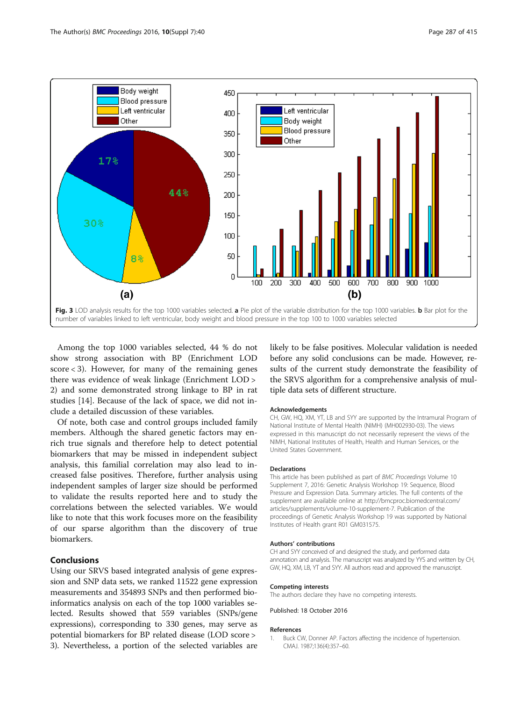<span id="page-4-0"></span>

Among the top 1000 variables selected, 44 % do not show strong association with BP (Enrichment LOD score  $<$  3). However, for many of the remaining genes there was evidence of weak linkage (Enrichment LOD > 2) and some demonstrated strong linkage to BP in rat studies [\[14](#page-5-0)]. Because of the lack of space, we did not include a detailed discussion of these variables.

Of note, both case and control groups included family members. Although the shared genetic factors may enrich true signals and therefore help to detect potential biomarkers that may be missed in independent subject analysis, this familial correlation may also lead to increased false positives. Therefore, further analysis using independent samples of larger size should be performed to validate the results reported here and to study the correlations between the selected variables. We would like to note that this work focuses more on the feasibility of our sparse algorithm than the discovery of true biomarkers.

## Conclusions

Using our SRVS based integrated analysis of gene expression and SNP data sets, we ranked 11522 gene expression measurements and 354893 SNPs and then performed bioinformatics analysis on each of the top 1000 variables selected. Results showed that 559 variables (SNPs/gene expressions), corresponding to 330 genes, may serve as potential biomarkers for BP related disease (LOD score > 3). Nevertheless, a portion of the selected variables are

likely to be false positives. Molecular validation is needed before any solid conclusions can be made. However, results of the current study demonstrate the feasibility of the SRVS algorithm for a comprehensive analysis of multiple data sets of different structure.

#### Acknowledgements

CH, GW, HQ, XM, YT, LB and SYY are supported by the Intramural Program of National Institute of Mental Health (NIMH) (MH002930-03). The views expressed in this manuscript do not necessarily represent the views of the NIMH, National Institutes of Health, Health and Human Services, or the United States Government.

#### Declarations

This article has been published as part of BMC Proceedings Volume 10 Supplement 7, 2016: Genetic Analysis Workshop 19: Sequence, Blood Pressure and Expression Data. Summary articles. The full contents of the supplement are available online at http://bmcproc.biomedcentral.com/ articles/supplements/volume-10-supplement-7. Publication of the proceedings of Genetic Analysis Workshop 19 was supported by National Institutes of Health grant R01 GM031575.

#### Authors' contributions

CH and SYY conceived of and designed the study, and performed data annotation and analysis. The manuscript was analyzed by YYS and written by CH, GW, HQ, XM, LB, YT and SYY. All authors read and approved the manuscript.

# Competing interests

The authors declare they have no competing interests.

Published: 18 October 2016

#### References

1. Buck CW, Donner AP. Factors affecting the incidence of hypertension. CMAJ. 1987;136(4):357–60.